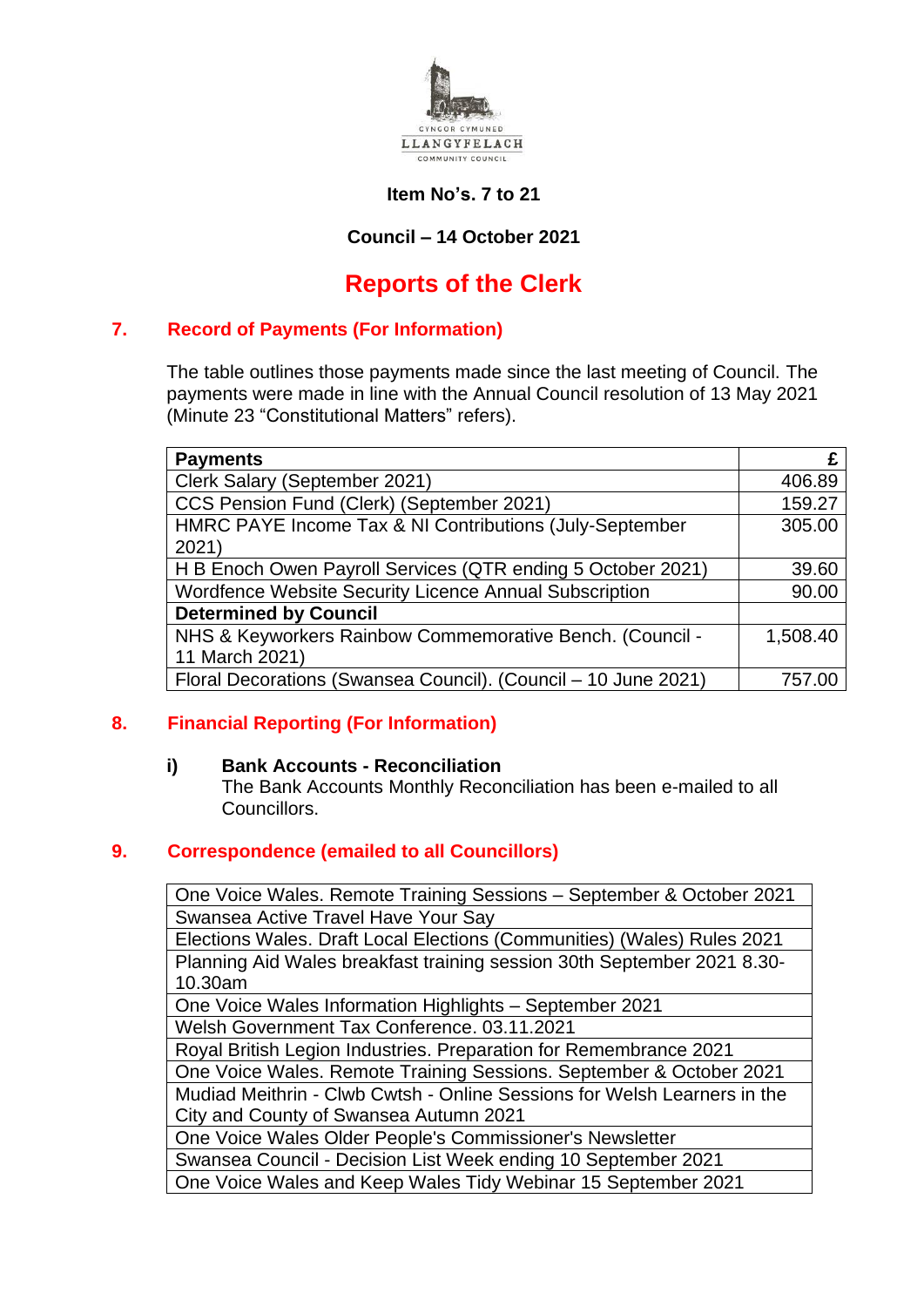

### **Item No's. 7 to 21**

## **Council – 14 October 2021**

# **Reports of the Clerk**

### **7. Record of Payments (For Information)**

The table outlines those payments made since the last meeting of Council. The payments were made in line with the Annual Council resolution of 13 May 2021 (Minute 23 "Constitutional Matters" refers).

| <b>Payments</b>                                                |          |
|----------------------------------------------------------------|----------|
| Clerk Salary (September 2021)                                  | 406.89   |
| CCS Pension Fund (Clerk) (September 2021)                      | 159.27   |
| HMRC PAYE Income Tax & NI Contributions (July-September        | 305.00   |
| 2021)                                                          |          |
| H B Enoch Owen Payroll Services (QTR ending 5 October 2021)    | 39.60    |
| Wordfence Website Security Licence Annual Subscription         | 90.00    |
| <b>Determined by Council</b>                                   |          |
| NHS & Keyworkers Rainbow Commemorative Bench. (Council -       | 1,508.40 |
| 11 March 2021)                                                 |          |
| Floral Decorations (Swansea Council). (Council - 10 June 2021) | 757.00   |

## **8. Financial Reporting (For Information)**

#### **i) Bank Accounts - Reconciliation**

The Bank Accounts Monthly Reconciliation has been e-mailed to all Councillors.

#### **9. Correspondence (emailed to all Councillors)**

One Voice Wales. Remote Training Sessions – September & October 2021 Swansea Active Travel Have Your Say

Elections Wales. Draft Local Elections (Communities) (Wales) Rules 2021 Planning Aid Wales breakfast training session 30th September 2021 8.30- 10.30am

One Voice Wales Information Highlights – September 2021

Welsh Government Tax Conference. 03.11.2021

Royal British Legion Industries. Preparation for Remembrance 2021

One Voice Wales. Remote Training Sessions. September & October 2021

Mudiad Meithrin - Clwb Cwtsh - Online Sessions for Welsh Learners in the City and County of Swansea Autumn 2021

One Voice Wales Older People's Commissioner's Newsletter

Swansea Council - Decision List Week ending 10 September 2021 One Voice Wales and Keep Wales Tidy Webinar 15 September 2021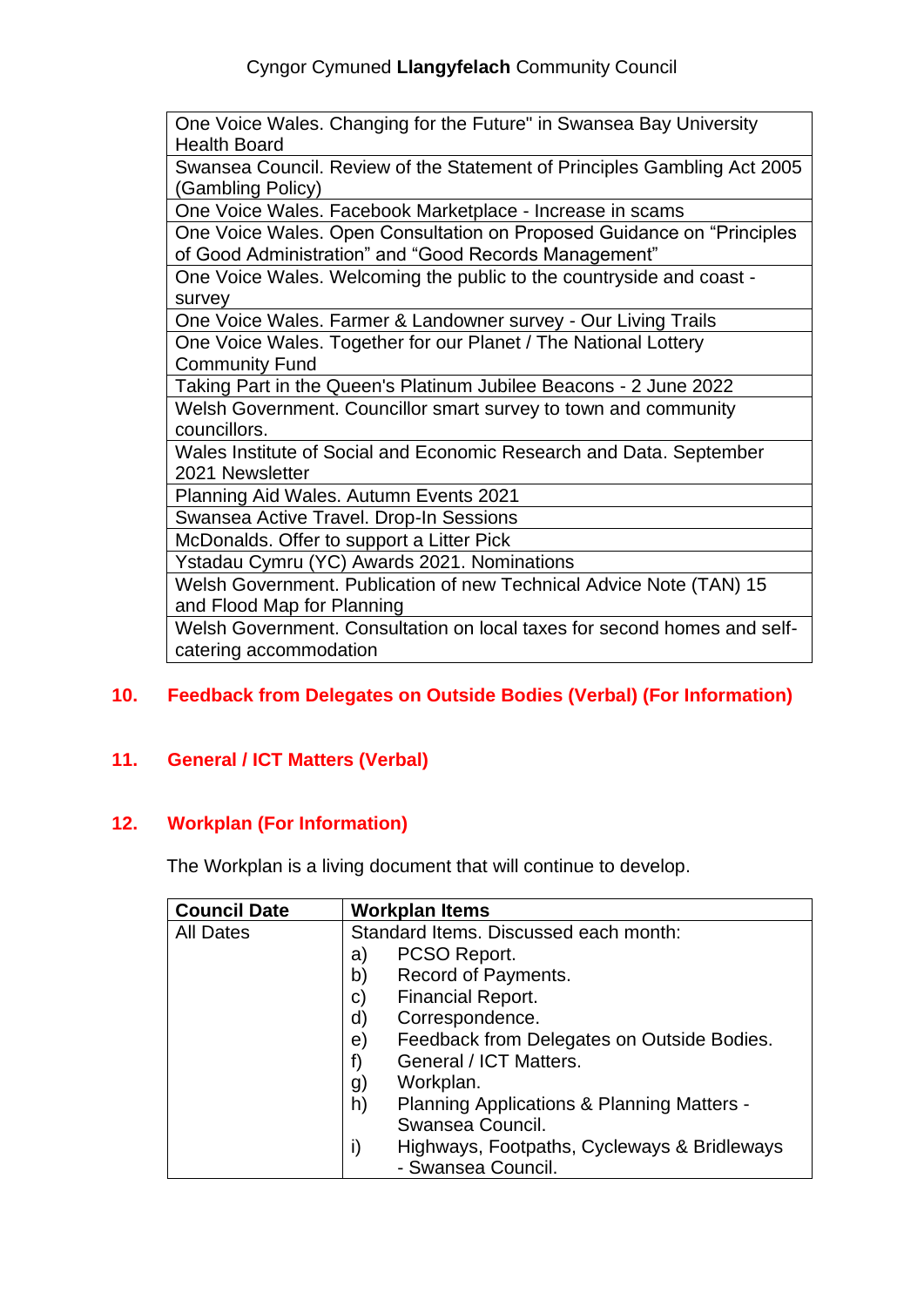One Voice Wales. Changing for the Future" in Swansea Bay University Health Board

Swansea Council. Review of the Statement of Principles Gambling Act 2005 (Gambling Policy)

One Voice Wales. Facebook Marketplace - Increase in scams

One Voice Wales. Open Consultation on Proposed Guidance on "Principles of Good Administration" and "Good Records Management"

One Voice Wales. Welcoming the public to the countryside and coast survey

One Voice Wales. Farmer & Landowner survey - Our Living Trails One Voice Wales. Together for our Planet / The National Lottery Community Fund

Taking Part in the Queen's Platinum Jubilee Beacons - 2 June 2022 Welsh Government. Councillor smart survey to town and community councillors.

Wales Institute of Social and Economic Research and Data. September 2021 Newsletter

Planning Aid Wales. Autumn Events 2021

Swansea Active Travel. Drop-In Sessions

McDonalds. Offer to support a Litter Pick

Ystadau Cymru (YC) Awards 2021. Nominations

Welsh Government. Publication of new Technical Advice Note (TAN) 15 and Flood Map for Planning

Welsh Government. Consultation on local taxes for second homes and selfcatering accommodation

## **10. Feedback from Delegates on Outside Bodies (Verbal) (For Information)**

## **11. General / ICT Matters (Verbal)**

## **12. Workplan (For Information)**

The Workplan is a living document that will continue to develop.

| <b>Council Date</b> | <b>Workplan Items</b>                             |
|---------------------|---------------------------------------------------|
| <b>All Dates</b>    | Standard Items. Discussed each month:             |
|                     | PCSO Report.<br>a)                                |
|                     | Record of Payments.<br>b)                         |
|                     | <b>Financial Report.</b><br>$\mathsf{C}$          |
|                     | Correspondence.<br>d)                             |
|                     | Feedback from Delegates on Outside Bodies.<br>e)  |
|                     | General / ICT Matters.<br>f)                      |
|                     | Workplan.<br>g)                                   |
|                     | h)<br>Planning Applications & Planning Matters -  |
|                     | Swansea Council.                                  |
|                     | Highways, Footpaths, Cycleways & Bridleways<br>i) |
|                     | - Swansea Council.                                |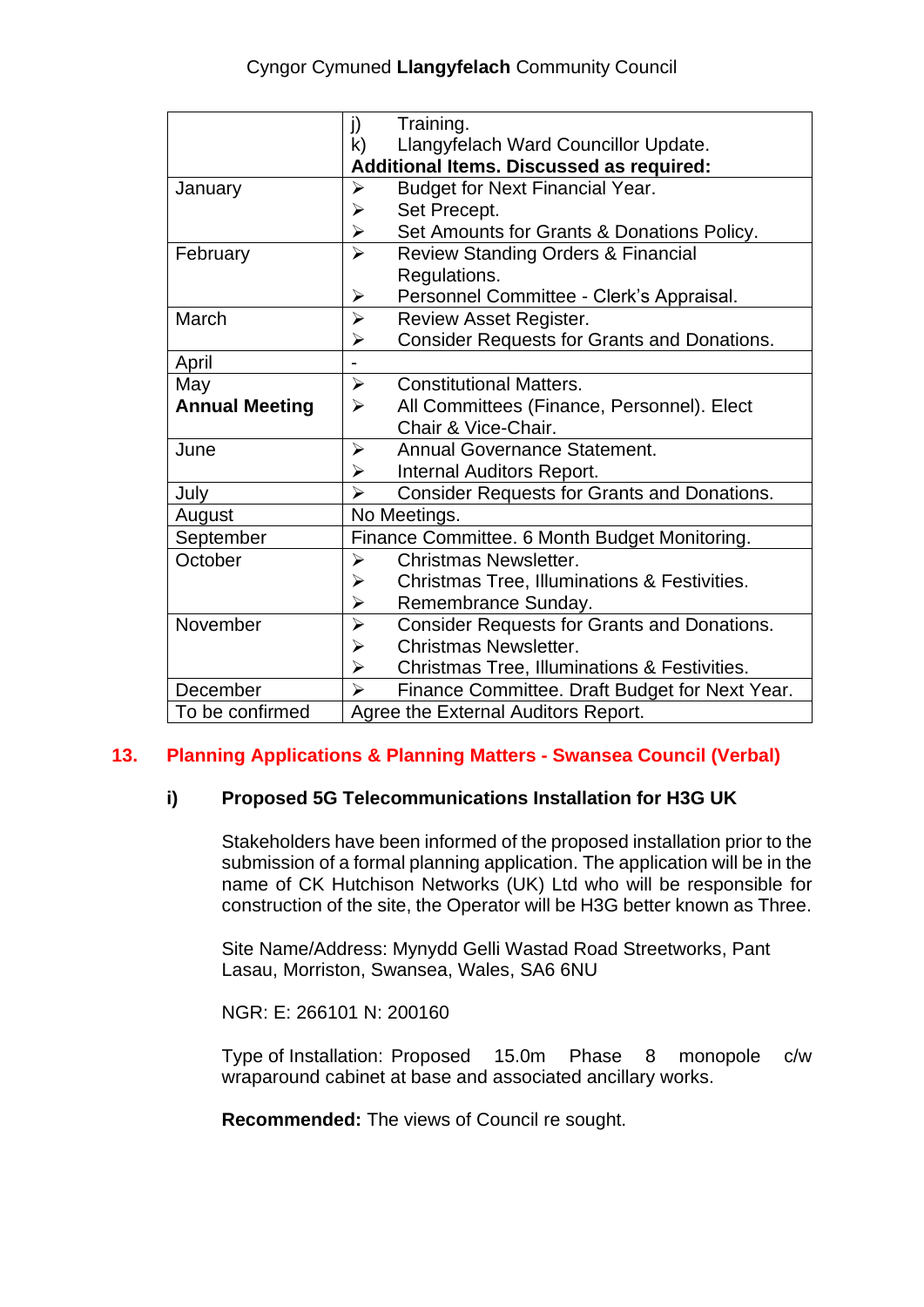|                       | Training.<br>j)                                                             |  |
|-----------------------|-----------------------------------------------------------------------------|--|
|                       | k)<br>Llangyfelach Ward Councillor Update.                                  |  |
|                       | <b>Additional Items. Discussed as required:</b>                             |  |
| January               | <b>Budget for Next Financial Year.</b><br>$\blacktriangleright$             |  |
|                       | Set Precept.<br>➤                                                           |  |
|                       | $\blacktriangleright$<br>Set Amounts for Grants & Donations Policy.         |  |
| February              | $\blacktriangleright$<br><b>Review Standing Orders &amp; Financial</b>      |  |
|                       | Regulations.                                                                |  |
|                       | Personnel Committee - Clerk's Appraisal.<br>$\blacktriangleright$           |  |
| March                 | <b>Review Asset Register.</b><br>$\blacktriangleright$                      |  |
|                       | <b>Consider Requests for Grants and Donations.</b><br>$\blacktriangleright$ |  |
| April                 |                                                                             |  |
| May                   | <b>Constitutional Matters.</b><br>$\blacktriangleright$                     |  |
| <b>Annual Meeting</b> | All Committees (Finance, Personnel). Elect<br>$\blacktriangleright$         |  |
|                       | Chair & Vice-Chair.                                                         |  |
| June                  | <b>Annual Governance Statement.</b><br>➤                                    |  |
|                       | <b>Internal Auditors Report.</b><br>➤                                       |  |
| July                  | $\blacktriangleright$<br><b>Consider Requests for Grants and Donations.</b> |  |
| August                | No Meetings.                                                                |  |
| September             | Finance Committee. 6 Month Budget Monitoring.                               |  |
| October               | <b>Christmas Newsletter.</b><br>➤                                           |  |
|                       | Christmas Tree, Illuminations & Festivities.<br>➤                           |  |
|                       | Remembrance Sunday.<br>$\blacktriangleright$                                |  |
| November              | $\blacktriangleright$<br><b>Consider Requests for Grants and Donations.</b> |  |
|                       | <b>Christmas Newsletter.</b><br>➤                                           |  |
|                       | Christmas Tree, Illuminations & Festivities.<br>$\blacktriangleright$       |  |
| December              | $\blacktriangleright$<br>Finance Committee. Draft Budget for Next Year.     |  |
| To be confirmed       | Agree the External Auditors Report.                                         |  |

## **13. Planning Applications & Planning Matters - Swansea Council (Verbal)**

## **i) Proposed 5G Telecommunications Installation for H3G UK**

Stakeholders have been informed of the proposed installation prior to the submission of a formal planning application. The application will be in the name of CK Hutchison Networks (UK) Ltd who will be responsible for construction of the site, the Operator will be H3G better known as Three.

Site Name/Address: Mynydd Gelli Wastad Road Streetworks, Pant Lasau, Morriston, Swansea, Wales, SA6 6NU

NGR: E: 266101 N: 200160

Type of Installation: Proposed 15.0m Phase 8 monopole c/w wraparound cabinet at base and associated ancillary works.

**Recommended:** The views of Council re sought.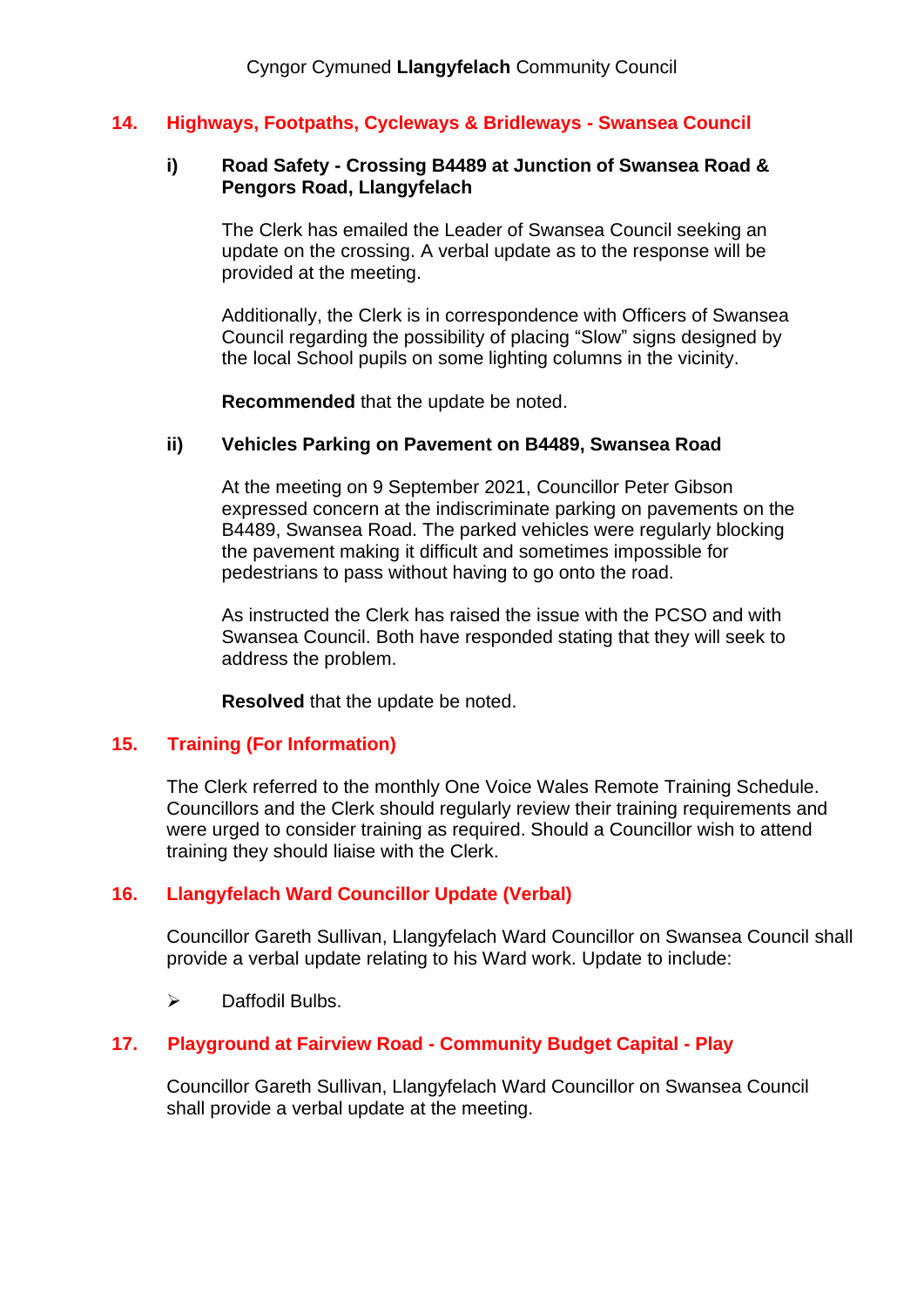#### **14. Highways, Footpaths, Cycleways & Bridleways - Swansea Council**

#### **i) Road Safety - Crossing B4489 at Junction of Swansea Road & Pengors Road, Llangyfelach**

The Clerk has emailed the Leader of Swansea Council seeking an update on the crossing. A verbal update as to the response will be provided at the meeting.

Additionally, the Clerk is in correspondence with Officers of Swansea Council regarding the possibility of placing "Slow" signs designed by the local School pupils on some lighting columns in the vicinity.

**Recommended** that the update be noted.

#### **ii) Vehicles Parking on Pavement on B4489, Swansea Road**

At the meeting on 9 September 2021, Councillor Peter Gibson expressed concern at the indiscriminate parking on pavements on the B4489, Swansea Road. The parked vehicles were regularly blocking the pavement making it difficult and sometimes impossible for pedestrians to pass without having to go onto the road.

As instructed the Clerk has raised the issue with the PCSO and with Swansea Council. Both have responded stating that they will seek to address the problem.

**Resolved** that the update be noted.

#### **15. Training (For Information)**

The Clerk referred to the monthly One Voice Wales Remote Training Schedule. Councillors and the Clerk should regularly review their training requirements and were urged to consider training as required. Should a Councillor wish to attend training they should liaise with the Clerk.

#### **16. Llangyfelach Ward Councillor Update (Verbal)**

Councillor Gareth Sullivan, Llangyfelach Ward Councillor on Swansea Council shall provide a verbal update relating to his Ward work. Update to include:

➢ Daffodil Bulbs.

#### **17. Playground at Fairview Road - Community Budget Capital - Play**

Councillor Gareth Sullivan, Llangyfelach Ward Councillor on Swansea Council shall provide a verbal update at the meeting.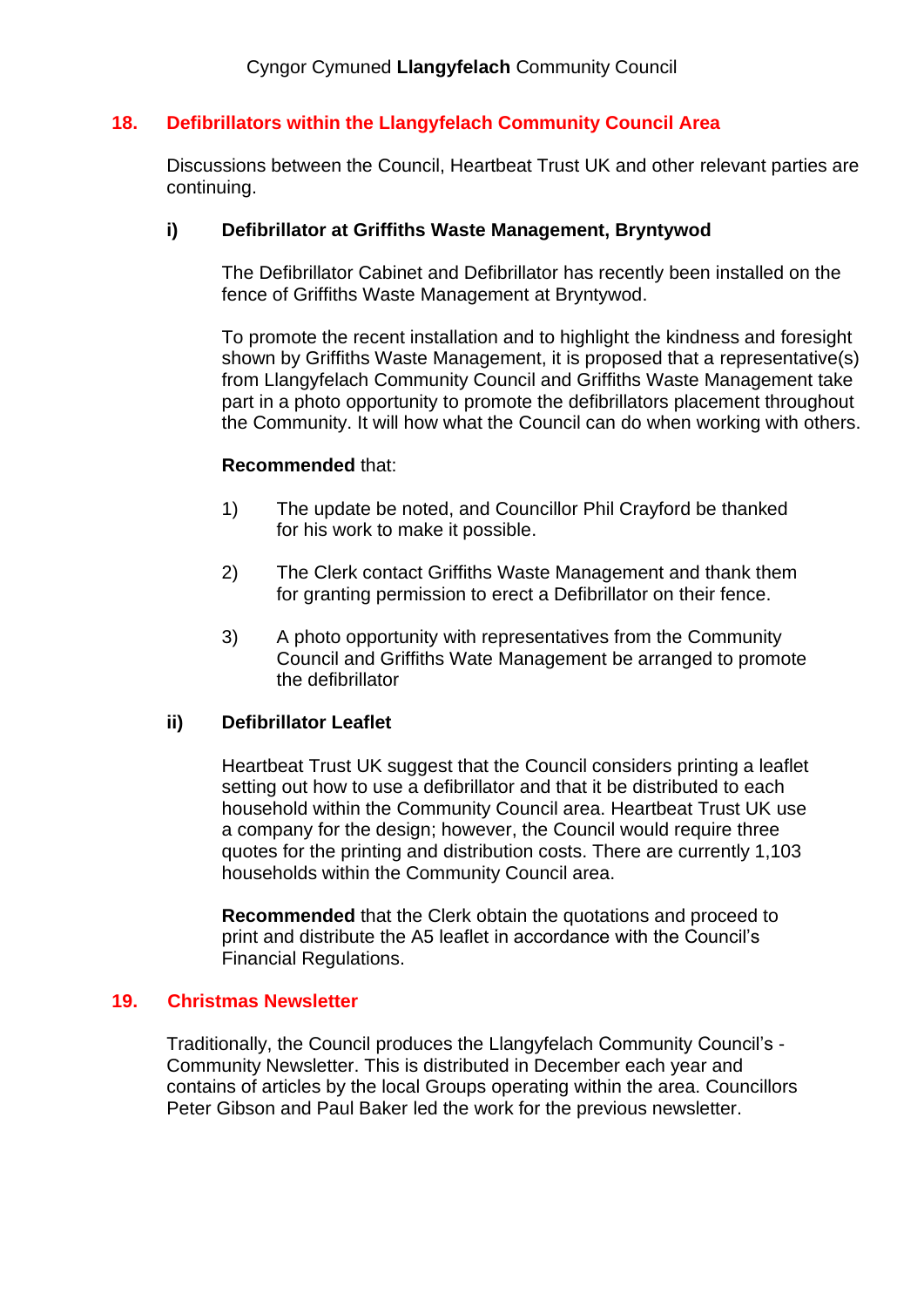## **18. Defibrillators within the Llangyfelach Community Council Area**

Discussions between the Council, Heartbeat Trust UK and other relevant parties are continuing.

### **i) Defibrillator at Griffiths Waste Management, Bryntywod**

The Defibrillator Cabinet and Defibrillator has recently been installed on the fence of Griffiths Waste Management at Bryntywod.

To promote the recent installation and to highlight the kindness and foresight shown by Griffiths Waste Management, it is proposed that a representative(s) from Llangyfelach Community Council and Griffiths Waste Management take part in a photo opportunity to promote the defibrillators placement throughout the Community. It will how what the Council can do when working with others.

#### **Recommended** that:

- 1) The update be noted, and Councillor Phil Crayford be thanked for his work to make it possible.
- 2) The Clerk contact Griffiths Waste Management and thank them for granting permission to erect a Defibrillator on their fence.
- 3) A photo opportunity with representatives from the Community Council and Griffiths Wate Management be arranged to promote the defibrillator

#### **ii) Defibrillator Leaflet**

Heartbeat Trust UK suggest that the Council considers printing a leaflet setting out how to use a defibrillator and that it be distributed to each household within the Community Council area. Heartbeat Trust UK use a company for the design; however, the Council would require three quotes for the printing and distribution costs. There are currently 1,103 households within the Community Council area.

**Recommended** that the Clerk obtain the quotations and proceed to print and distribute the A5 leaflet in accordance with the Council's Financial Regulations.

### **19. Christmas Newsletter**

Traditionally, the Council produces the Llangyfelach Community Council's - Community Newsletter. This is distributed in December each year and contains of articles by the local Groups operating within the area. Councillors Peter Gibson and Paul Baker led the work for the previous newsletter.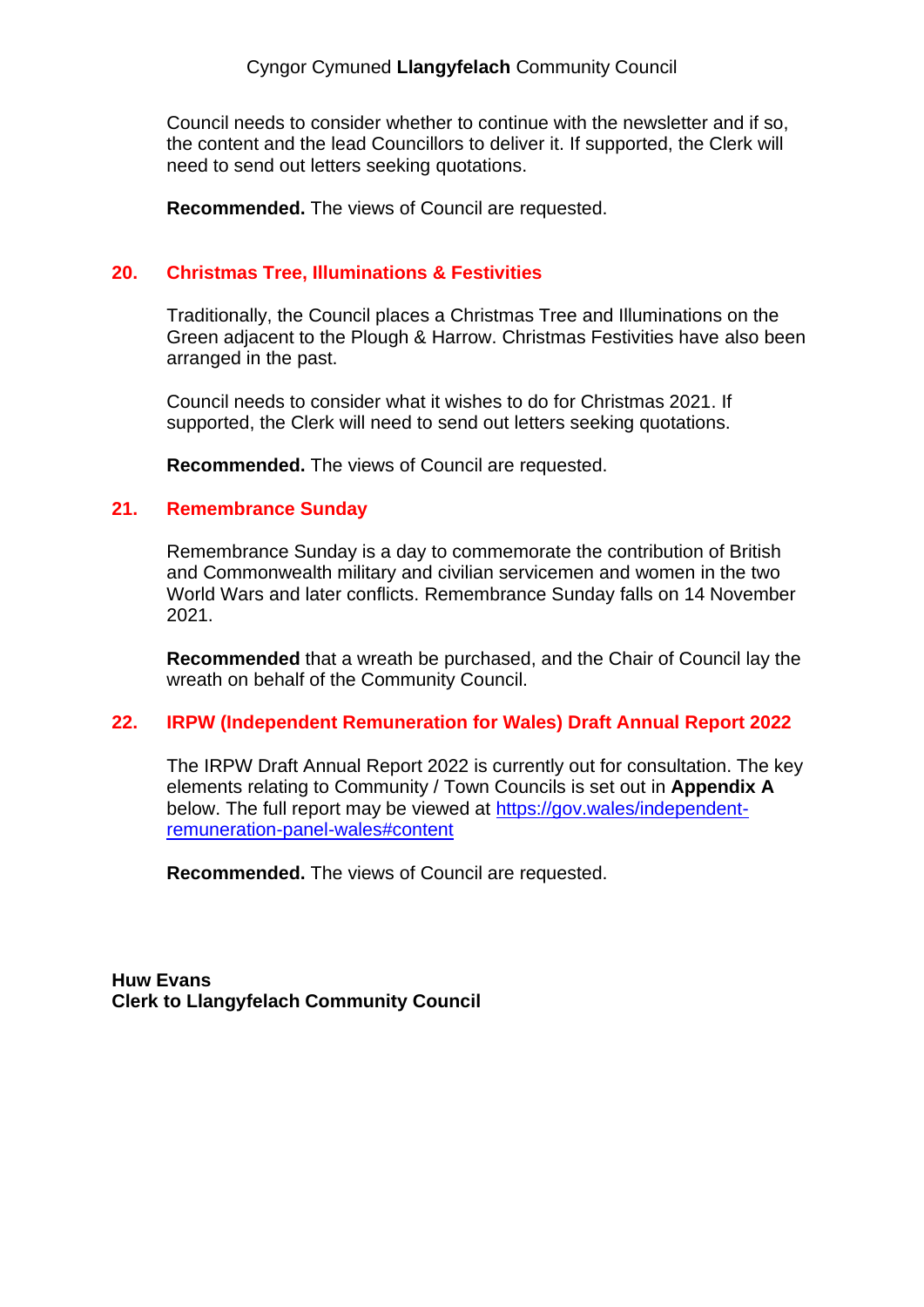Council needs to consider whether to continue with the newsletter and if so, the content and the lead Councillors to deliver it. If supported, the Clerk will need to send out letters seeking quotations.

**Recommended.** The views of Council are requested.

#### **20. Christmas Tree, Illuminations & Festivities**

Traditionally, the Council places a Christmas Tree and Illuminations on the Green adjacent to the Plough & Harrow. Christmas Festivities have also been arranged in the past.

Council needs to consider what it wishes to do for Christmas 2021. If supported, the Clerk will need to send out letters seeking quotations.

**Recommended.** The views of Council are requested.

#### **21. Remembrance Sunday**

Remembrance Sunday is a day to commemorate the contribution of British and Commonwealth military and civilian servicemen and women in the two World Wars and later conflicts. Remembrance Sunday falls on 14 November 2021.

**Recommended** that a wreath be purchased, and the Chair of Council lay the wreath on behalf of the Community Council.

#### **22. IRPW (Independent Remuneration for Wales) Draft Annual Report 2022**

The IRPW Draft Annual Report 2022 is currently out for consultation. The key elements relating to Community / Town Councils is set out in **Appendix A** below. The full report may be viewed at [https://gov.wales/independent](https://gov.wales/independent-remuneration-panel-wales#content)[remuneration-panel-wales#content](https://gov.wales/independent-remuneration-panel-wales#content)

**Recommended.** The views of Council are requested.

**Huw Evans Clerk to Llangyfelach Community Council**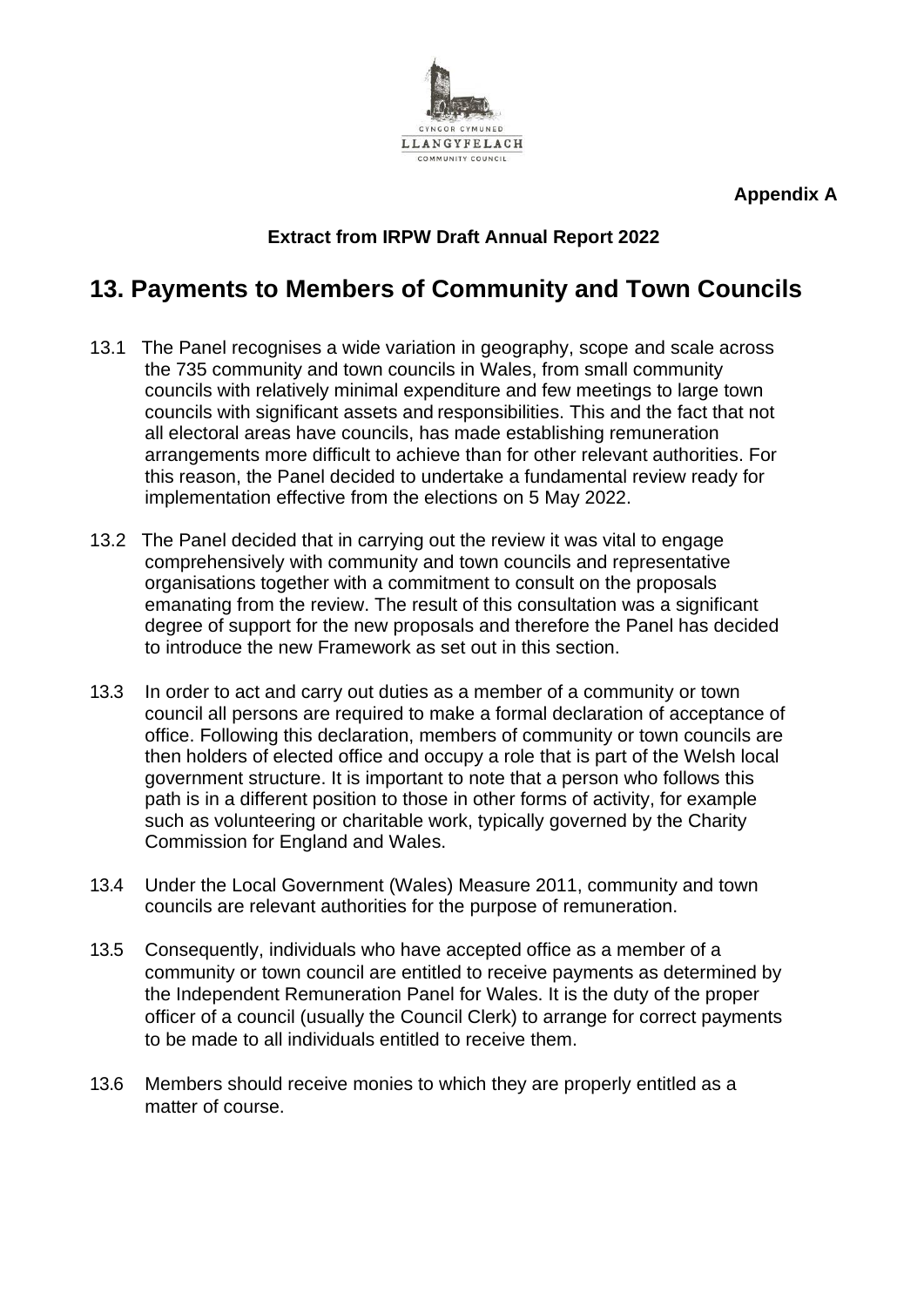**LLANGYFELACH** 

**Appendix A**

## **Extract from IRPW Draft Annual Report 2022**

# **13. Payments to Members of Community and Town Councils**

- 13.1 The Panel recognises a wide variation in geography, scope and scale across the 735 community and town councils in Wales, from small community councils with relatively minimal expenditure and few meetings to large town councils with significant assets and responsibilities. This and the fact that not all electoral areas have councils, has made establishing remuneration arrangements more difficult to achieve than for other relevant authorities. For this reason, the Panel decided to undertake a fundamental review ready for implementation effective from the elections on 5 May 2022.
- 13.2 The Panel decided that in carrying out the review it was vital to engage comprehensively with community and town councils and representative organisations together with a commitment to consult on the proposals emanating from the review. The result of this consultation was a significant degree of support for the new proposals and therefore the Panel has decided to introduce the new Framework as set out in this section.
- 13.3 In order to act and carry out duties as a member of a community or town council all persons are required to make a formal declaration of acceptance of office. Following this declaration, members of community or town councils are then holders of elected office and occupy a role that is part of the Welsh local government structure. It is important to note that a person who follows this path is in a different position to those in other forms of activity, for example such as volunteering or charitable work, typically governed by the Charity Commission for England and Wales.
- 13.4 Under the Local Government (Wales) Measure 2011, community and town councils are relevant authorities for the purpose of remuneration.
- 13.5 Consequently, individuals who have accepted office as a member of a community or town council are entitled to receive payments as determined by the Independent Remuneration Panel for Wales. It is the duty of the proper officer of a council (usually the Council Clerk) to arrange for correct payments to be made to all individuals entitled to receive them.
- 13.6 Members should receive monies to which they are properly entitled as a matter of course.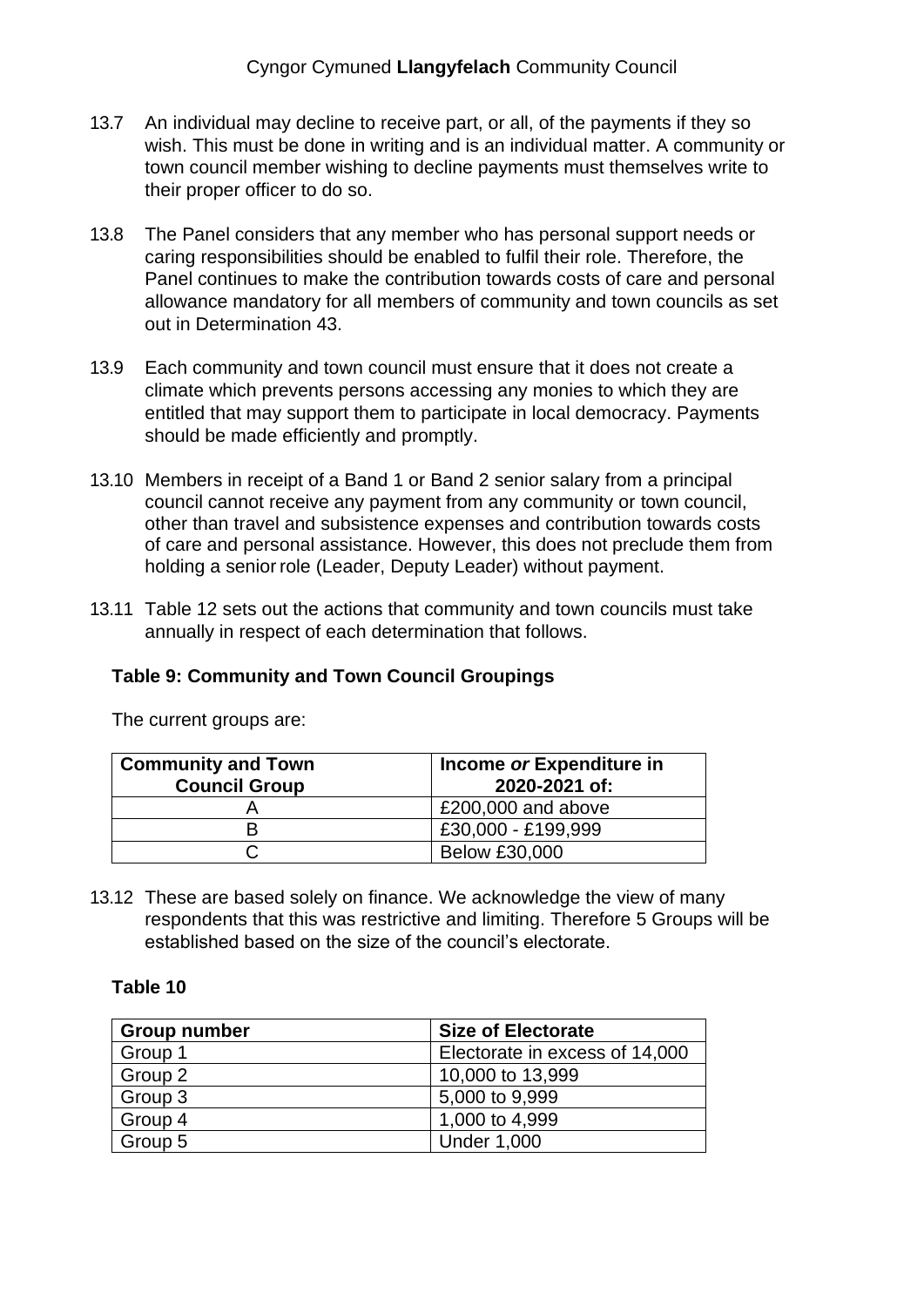- 13.7 An individual may decline to receive part, or all, of the payments if they so wish. This must be done in writing and is an individual matter. A community or town council member wishing to decline payments must themselves write to their proper officer to do so.
- 13.8 The Panel considers that any member who has personal support needs or caring responsibilities should be enabled to fulfil their role. Therefore, the Panel continues to make the contribution towards costs of care and personal allowance mandatory for all members of community and town councils as set out in Determination 43.
- 13.9 Each community and town council must ensure that it does not create a climate which prevents persons accessing any monies to which they are entitled that may support them to participate in local democracy. Payments should be made efficiently and promptly.
- 13.10 Members in receipt of a Band 1 or Band 2 senior salary from a principal council cannot receive any payment from any community or town council, other than travel and subsistence expenses and contribution towards costs of care and personal assistance. However, this does not preclude them from holding a senior role (Leader, Deputy Leader) without payment.
- 13.11 Table 12 sets out the actions that community and town councils must take annually in respect of each determination that follows.

## **Table 9: Community and Town Council Groupings**

The current groups are:

| <b>Community and Town</b><br><b>Council Group</b> | Income or Expenditure in<br>2020-2021 of: |
|---------------------------------------------------|-------------------------------------------|
|                                                   | £200,000 and above                        |
|                                                   | £30,000 - £199,999                        |
|                                                   | <b>Below £30,000</b>                      |

13.12 These are based solely on finance. We acknowledge the view of many respondents that this was restrictive and limiting. Therefore 5 Groups will be established based on the size of the council's electorate.

### **Table 10**

| Group number | <b>Size of Electorate</b>      |
|--------------|--------------------------------|
| Group 1      | Electorate in excess of 14,000 |
| Group 2      | 10,000 to 13,999               |
| Group 3      | 5,000 to 9,999                 |
| Group 4      | 1,000 to 4,999                 |
| Group 5      | <b>Under 1,000</b>             |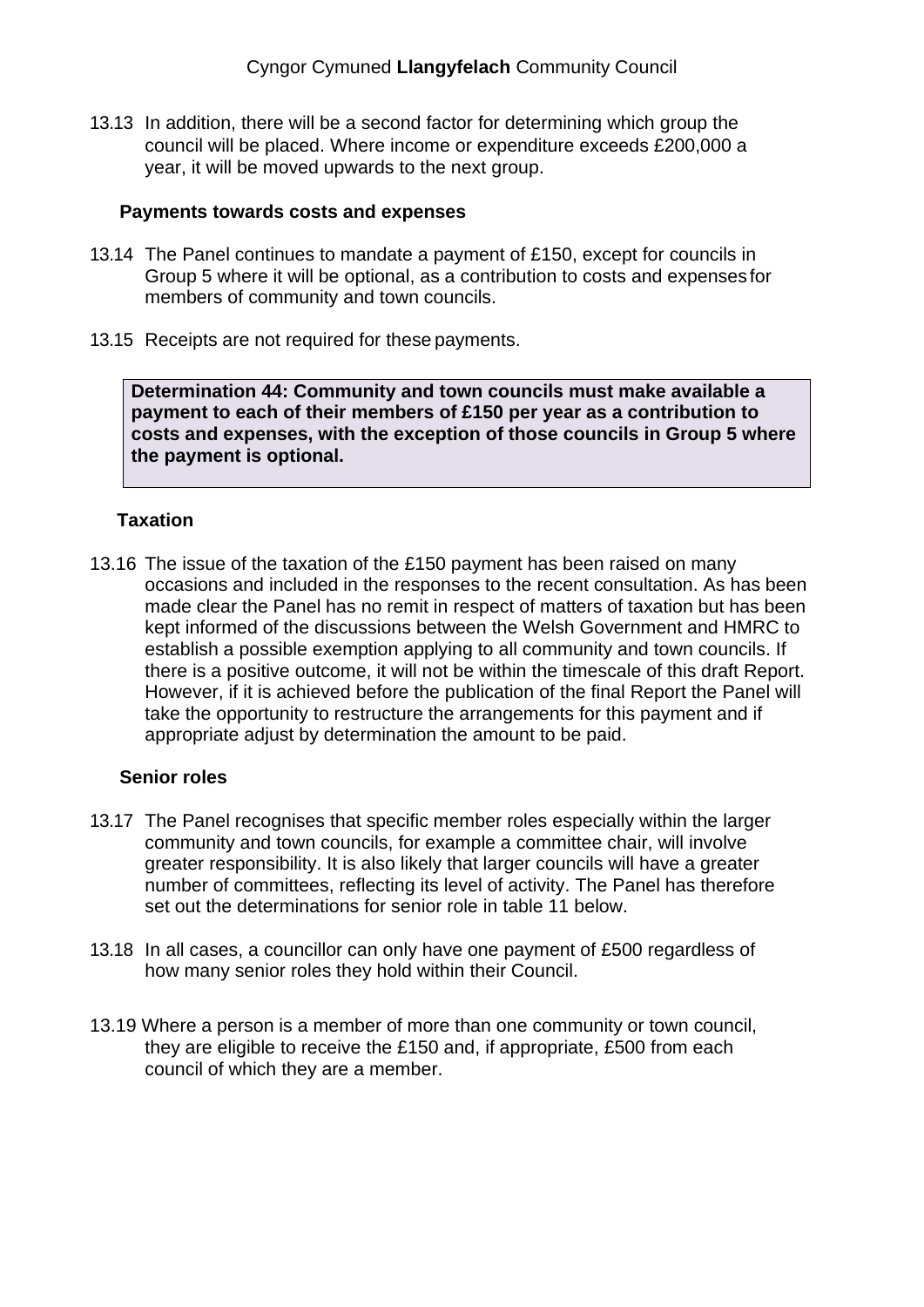13.13 In addition, there will be a second factor for determining which group the council will be placed. Where income or expenditure exceeds £200,000 a year, it will be moved upwards to the next group.

#### **Payments towards costs and expenses**

- 13.14 The Panel continues to mandate a payment of £150, except for councils in Group 5 where it will be optional, as a contribution to costs and expenses for members of community and town councils.
- 13.15 Receipts are not required for these payments.

**Determination 44: Community and town councils must make available a payment to each of their members of £150 per year as a contribution to costs and expenses, with the exception of those councils in Group 5 where the payment is optional.** 

### **Taxation**

13.16 The issue of the taxation of the £150 payment has been raised on many occasions and included in the responses to the recent consultation. As has been made clear the Panel has no remit in respect of matters of taxation but has been kept informed of the discussions between the Welsh Government and HMRC to establish a possible exemption applying to all community and town councils. If there is a positive outcome, it will not be within the timescale of this draft Report. However, if it is achieved before the publication of the final Report the Panel will take the opportunity to restructure the arrangements for this payment and if appropriate adjust by determination the amount to be paid.

#### **Senior roles**

- 13.17 The Panel recognises that specific member roles especially within the larger community and town councils, for example a committee chair, will involve greater responsibility. It is also likely that larger councils will have a greater number of committees, reflecting its level of activity. The Panel has therefore set out the determinations for senior role in table 11 below.
- 13.18 In all cases, a councillor can only have one payment of £500 regardless of how many senior roles they hold within their Council.
- 13.19 Where a person is a member of more than one community or town council, they are eligible to receive the £150 and, if appropriate, £500 from each council of which they are a member.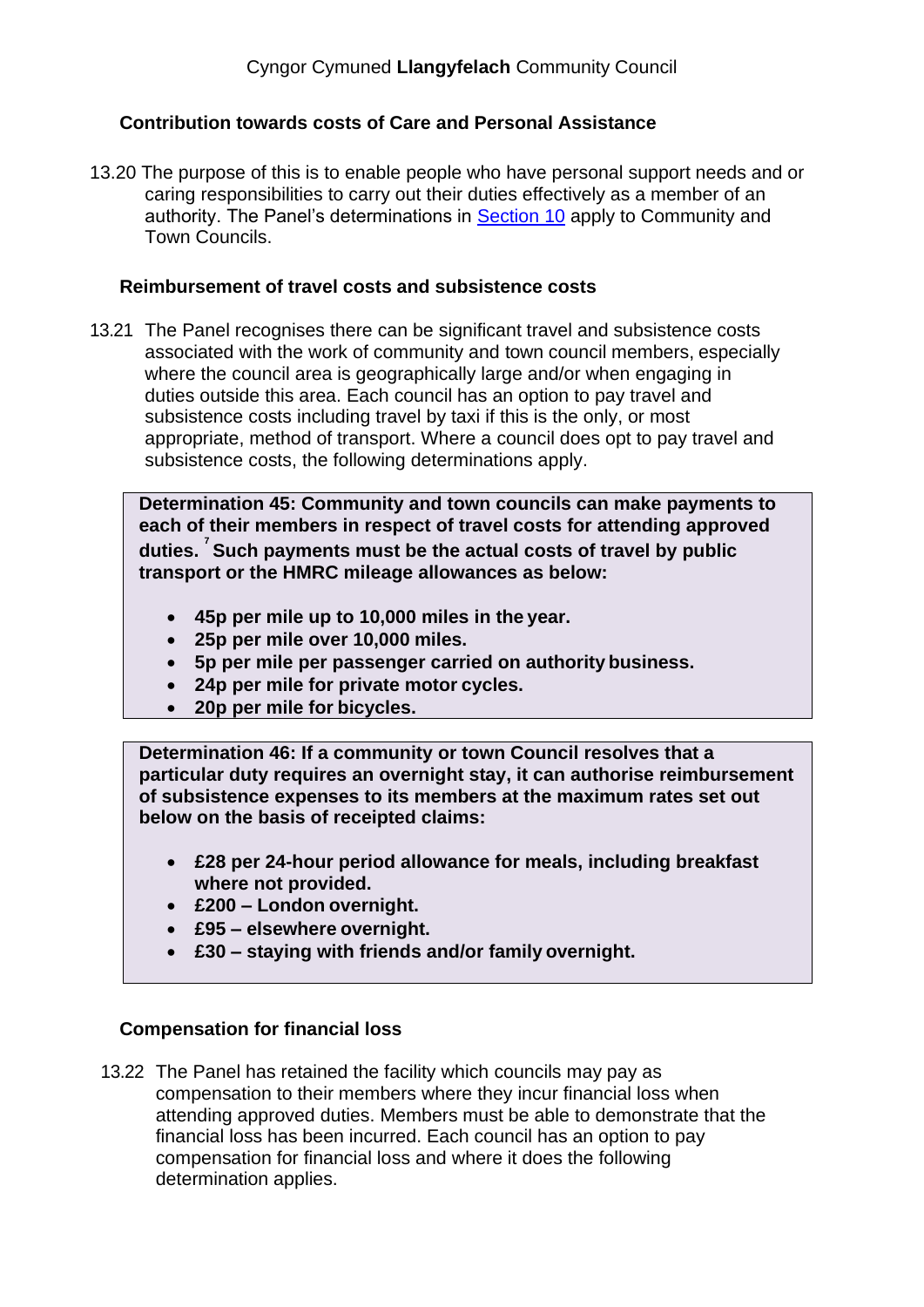## **Contribution towards costs of Care and Personal Assistance**

13.20 The purpose of this is to enable people who have personal support needs and or caring responsibilities to carry out their duties effectively as a member of an authority. The Panel's determinations in Section 10 apply to Community and Town Councils.

#### **Reimbursement of travel costs and subsistence costs**

13.21 The Panel recognises there can be significant travel and subsistence costs associated with the work of community and town council members, especially where the council area is geographically large and/or when engaging in duties outside this area. Each council has an option to pay travel and subsistence costs including travel by taxi if this is the only, or most appropriate, method of transport. Where a council does opt to pay travel and subsistence costs, the following determinations apply.

**Determination 45: Community and town councils can make payments to each of their members in respect of travel costs for attending approved duties. <sup>7</sup> Such payments must be the actual costs of travel by public transport or the HMRC mileage allowances as below:**

- **45p per mile up to 10,000 miles in the year.**
- **25p per mile over 10,000 miles.**
- **5p per mile per passenger carried on authority business.**
- **24p per mile for private motor cycles.**
- **20p per mile for bicycles.**

**Determination 46: If a community or town Council resolves that a particular duty requires an overnight stay, it can authorise reimbursement of subsistence expenses to its members at the maximum rates set out below on the basis of receipted claims:**

- **£28 per 24-hour period allowance for meals, including breakfast where not provided.**
- **£200 – London overnight.**
- **£95 – elsewhere overnight.**
- **£30 – staying with friends and/or family overnight.**

#### **Compensation for financial loss**

13.22 The Panel has retained the facility which councils may pay as compensation to their members where they incur financial loss when attending approved duties. Members must be able to demonstrate that the financial loss has been incurred. Each council has an option to pay compensation for financial loss and where it does the following determination applies.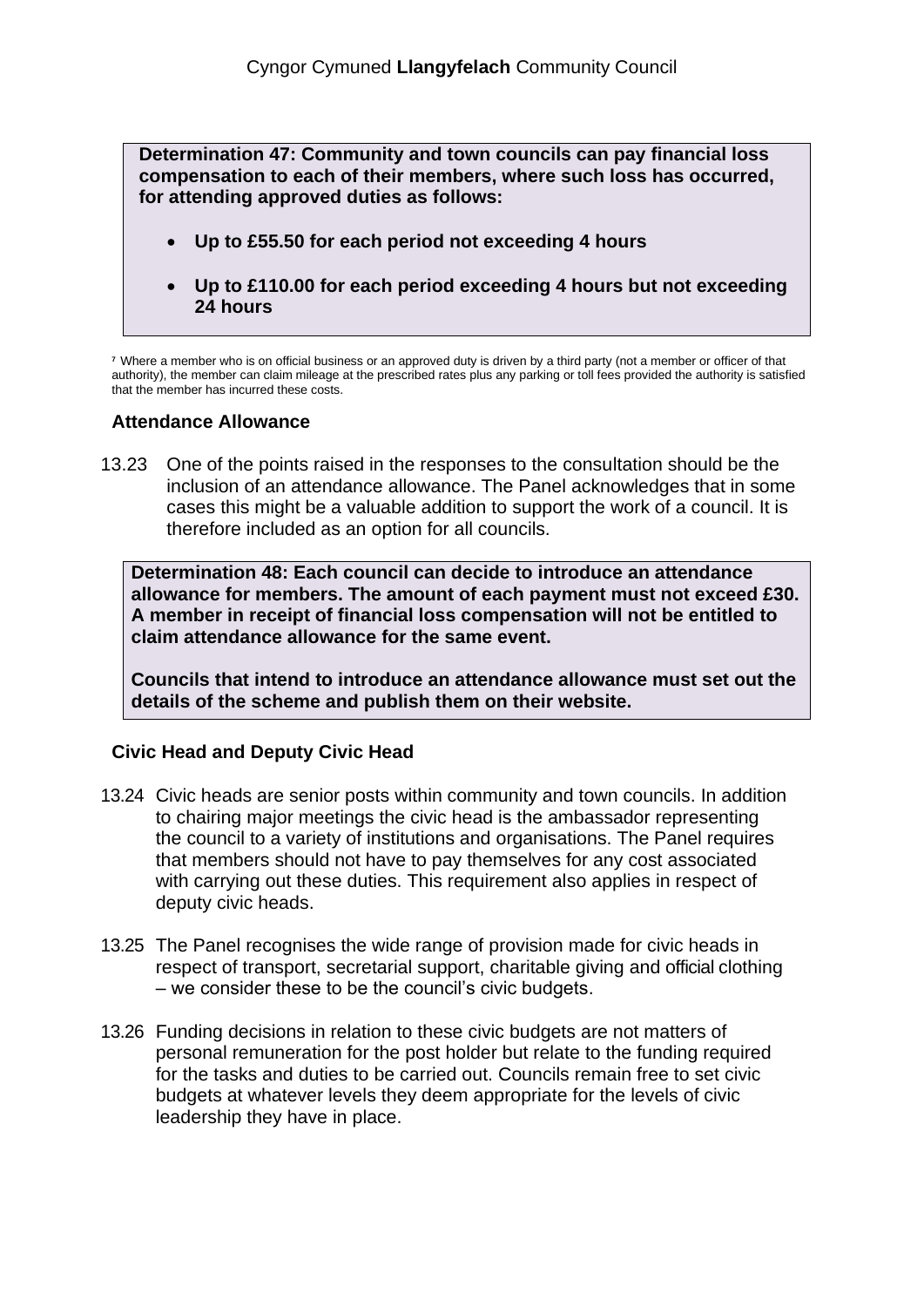**Determination 47: Community and town councils can pay financial loss compensation to each of their members, where such loss has occurred, for attending approved duties as follows:**

- **Up to £55.50 for each period not exceeding 4 hours**
- **Up to £110.00 for each period exceeding 4 hours but not exceeding 24 hours**

**<sup>7</sup>** Where a member who is on official business or an approved duty is driven by a third party (not a member or officer of that authority), the member can claim mileage at the prescribed rates plus any parking or toll fees provided the authority is satisfied that the member has incurred these costs.

### **Attendance Allowance**

13.23 One of the points raised in the responses to the consultation should be the inclusion of an attendance allowance. The Panel acknowledges that in some cases this might be a valuable addition to support the work of a council. It is therefore included as an option for all councils.

**Determination 48: Each council can decide to introduce an attendance allowance for members. The amount of each payment must not exceed £30. A member in receipt of financial loss compensation will not be entitled to claim attendance allowance for the same event.**

**Councils that intend to introduce an attendance allowance must set out the details of the scheme and publish them on their website.** 

## **Civic Head and Deputy Civic Head**

- 13.24 Civic heads are senior posts within community and town councils. In addition to chairing major meetings the civic head is the ambassador representing the council to a variety of institutions and organisations. The Panel requires that members should not have to pay themselves for any cost associated with carrying out these duties. This requirement also applies in respect of deputy civic heads.
- 13.25 The Panel recognises the wide range of provision made for civic heads in respect of transport, secretarial support, charitable giving and official clothing – we consider these to be the council's civic budgets.
- 13.26 Funding decisions in relation to these civic budgets are not matters of personal remuneration for the post holder but relate to the funding required for the tasks and duties to be carried out. Councils remain free to set civic budgets at whatever levels they deem appropriate for the levels of civic leadership they have in place.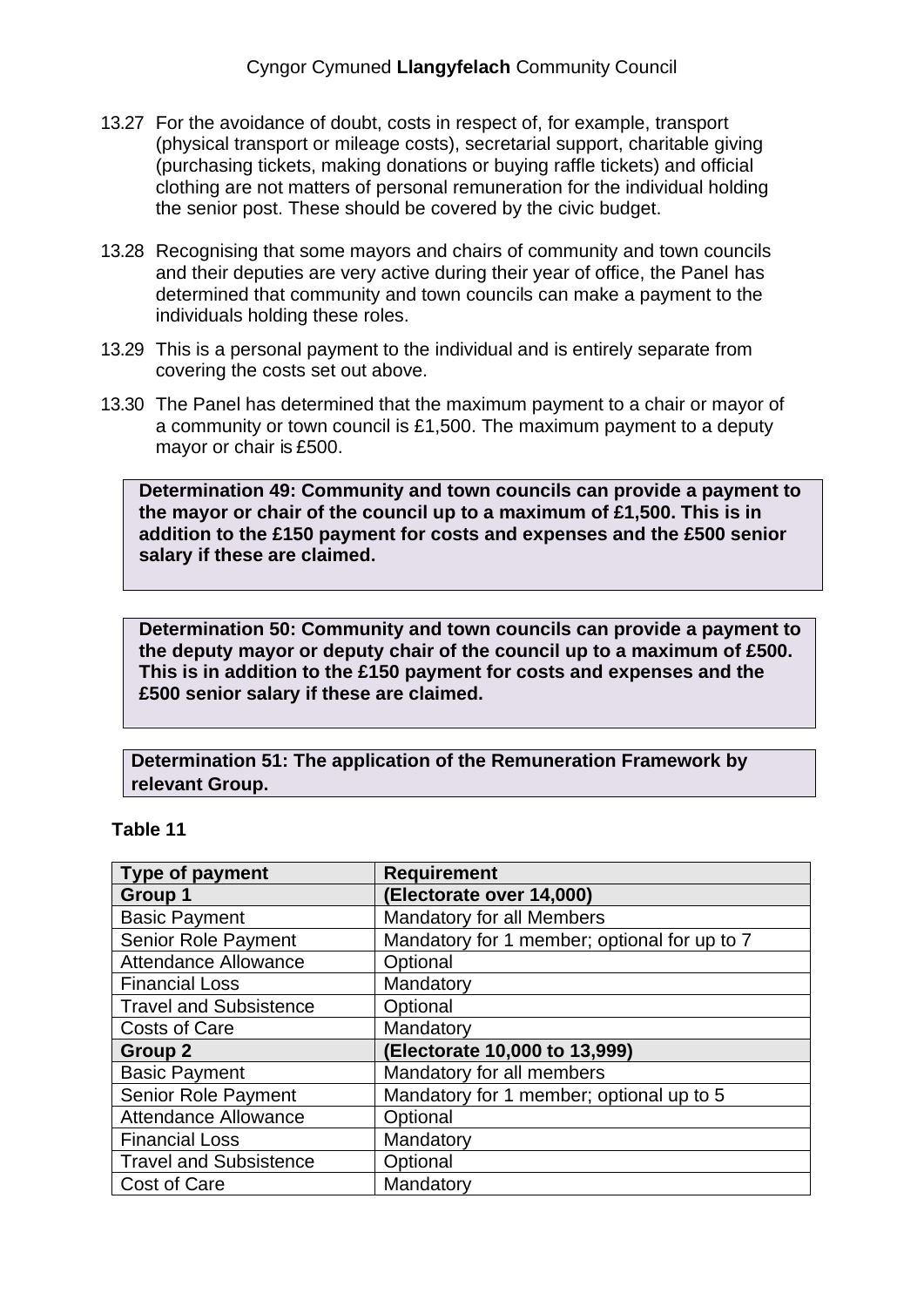- 13.27 For the avoidance of doubt, costs in respect of, for example, transport (physical transport or mileage costs), secretarial support, charitable giving (purchasing tickets, making donations or buying raffle tickets) and official clothing are not matters of personal remuneration for the individual holding the senior post. These should be covered by the civic budget.
- 13.28 Recognising that some mayors and chairs of community and town councils and their deputies are very active during their year of office, the Panel has determined that community and town councils can make a payment to the individuals holding these roles.
- 13.29 This is a personal payment to the individual and is entirely separate from covering the costs set out above.
- 13.30 The Panel has determined that the maximum payment to a chair or mayor of a community or town council is £1,500. The maximum payment to a deputy mayor or chair is £500.

**Determination 49: Community and town councils can provide a payment to the mayor or chair of the council up to a maximum of £1,500. This is in addition to the £150 payment for costs and expenses and the £500 senior salary if these are claimed.**

**Determination 50: Community and town councils can provide a payment to the deputy mayor or deputy chair of the council up to a maximum of £500. This is in addition to the £150 payment for costs and expenses and the £500 senior salary if these are claimed.**

**Determination 51: The application of the Remuneration Framework by relevant Group.**

#### **Table 11**

| <b>Type of payment</b>        | <b>Requirement</b>                           |
|-------------------------------|----------------------------------------------|
| Group 1                       | (Electorate over 14,000)                     |
| <b>Basic Payment</b>          | Mandatory for all Members                    |
| Senior Role Payment           | Mandatory for 1 member; optional for up to 7 |
| <b>Attendance Allowance</b>   | Optional                                     |
| <b>Financial Loss</b>         | Mandatory                                    |
| <b>Travel and Subsistence</b> | Optional                                     |
| <b>Costs of Care</b>          | Mandatory                                    |
| Group 2                       | (Electorate 10,000 to 13,999)                |
| <b>Basic Payment</b>          | Mandatory for all members                    |
| <b>Senior Role Payment</b>    | Mandatory for 1 member; optional up to 5     |
| <b>Attendance Allowance</b>   | Optional                                     |
| <b>Financial Loss</b>         | Mandatory                                    |
| <b>Travel and Subsistence</b> | Optional                                     |
| Cost of Care                  | Mandatory                                    |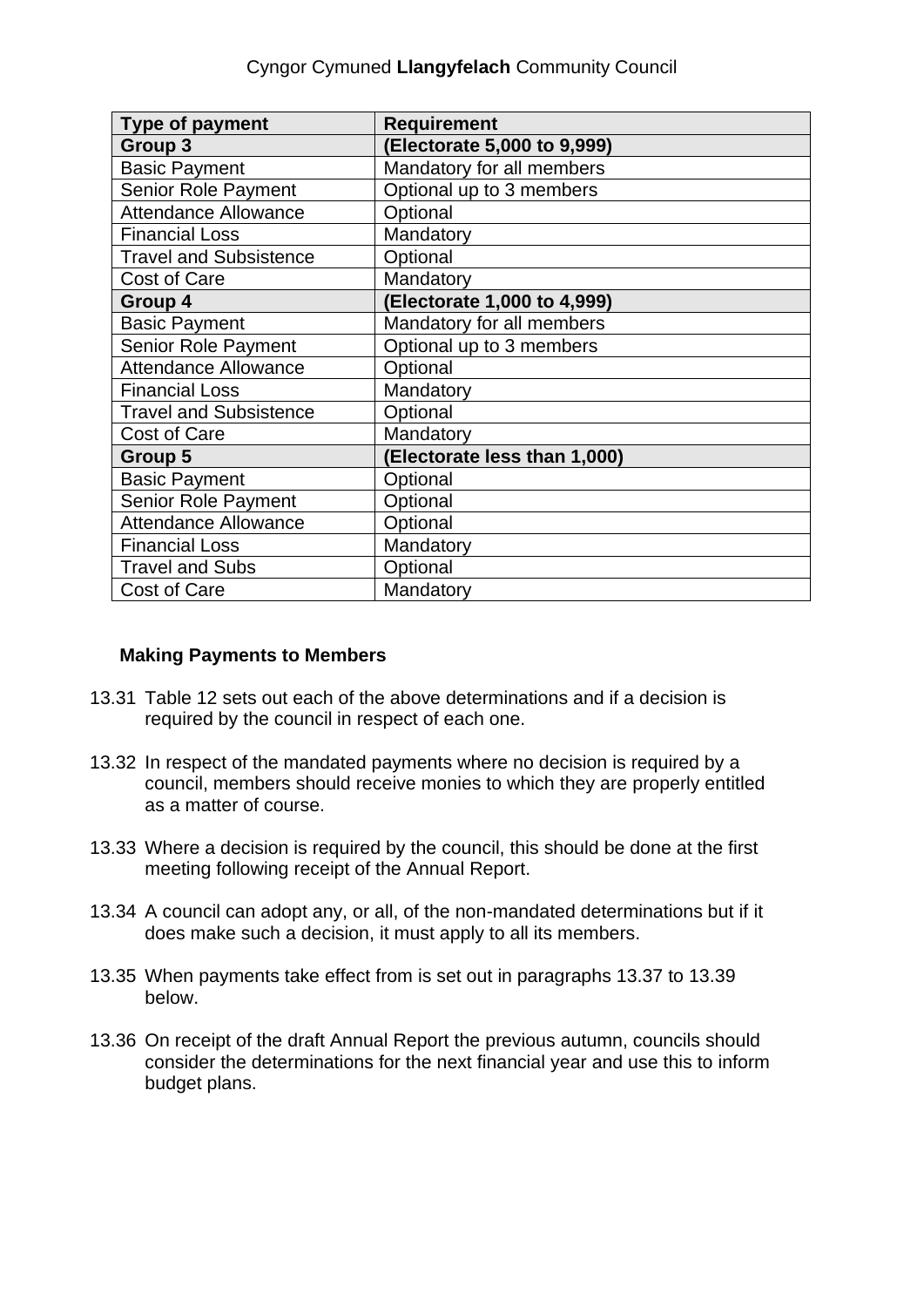| <b>Type of payment</b>        | <b>Requirement</b>           |
|-------------------------------|------------------------------|
| Group 3                       | (Electorate 5,000 to 9,999)  |
| <b>Basic Payment</b>          | Mandatory for all members    |
| Senior Role Payment           | Optional up to 3 members     |
| <b>Attendance Allowance</b>   | Optional                     |
| <b>Financial Loss</b>         | Mandatory                    |
| <b>Travel and Subsistence</b> | Optional                     |
| <b>Cost of Care</b>           | Mandatory                    |
| Group 4                       | (Electorate 1,000 to 4,999)  |
| <b>Basic Payment</b>          | Mandatory for all members    |
| <b>Senior Role Payment</b>    | Optional up to 3 members     |
| <b>Attendance Allowance</b>   | Optional                     |
| <b>Financial Loss</b>         | Mandatory                    |
| <b>Travel and Subsistence</b> | Optional                     |
| <b>Cost of Care</b>           | Mandatory                    |
| Group 5                       | (Electorate less than 1,000) |
| <b>Basic Payment</b>          | Optional                     |
| <b>Senior Role Payment</b>    | Optional                     |
| <b>Attendance Allowance</b>   | Optional                     |
| <b>Financial Loss</b>         | Mandatory                    |
| <b>Travel and Subs</b>        | Optional                     |
| <b>Cost of Care</b>           | Mandatory                    |

## **Making Payments to Members**

- 13.31 Table 12 sets out each of the above determinations and if a decision is required by the council in respect of each one.
- 13.32 In respect of the mandated payments where no decision is required by a council, members should receive monies to which they are properly entitled as a matter of course.
- 13.33 Where a decision is required by the council, this should be done at the first meeting following receipt of the Annual Report.
- 13.34 A council can adopt any, or all, of the non-mandated determinations but if it does make such a decision, it must apply to all its members.
- 13.35 When payments take effect from is set out in paragraphs 13.37 to 13.39 below.
- 13.36 On receipt of the draft Annual Report the previous autumn, councils should consider the determinations for the next financial year and use this to inform budget plans.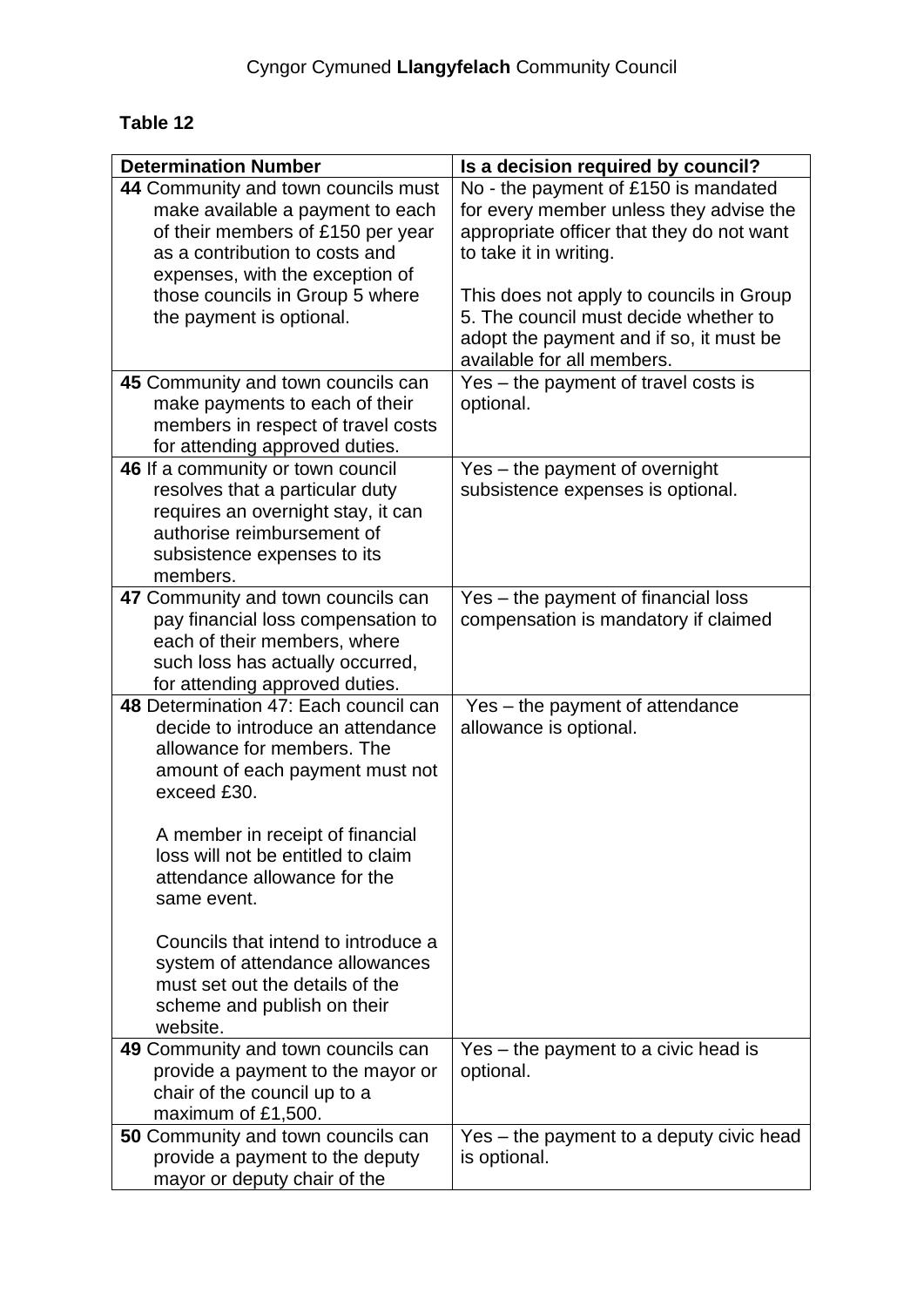## **Table 12**

| <b>Determination Number</b>                                        | Is a decision required by council?        |
|--------------------------------------------------------------------|-------------------------------------------|
| 44 Community and town councils must                                | No - the payment of £150 is mandated      |
| make available a payment to each                                   | for every member unless they advise the   |
| of their members of £150 per year                                  | appropriate officer that they do not want |
| as a contribution to costs and                                     | to take it in writing.                    |
| expenses, with the exception of                                    |                                           |
| those councils in Group 5 where                                    | This does not apply to councils in Group  |
| the payment is optional.                                           | 5. The council must decide whether to     |
|                                                                    | adopt the payment and if so, it must be   |
|                                                                    | available for all members.                |
| 45 Community and town councils can                                 | Yes – the payment of travel costs is      |
| make payments to each of their                                     | optional.                                 |
| members in respect of travel costs                                 |                                           |
| for attending approved duties.                                     |                                           |
| 46 If a community or town council                                  | Yes - the payment of overnight            |
| resolves that a particular duty                                    | subsistence expenses is optional.         |
| requires an overnight stay, it can                                 |                                           |
| authorise reimbursement of                                         |                                           |
| subsistence expenses to its                                        |                                           |
| members.                                                           |                                           |
| 47 Community and town councils can                                 | Yes – the payment of financial loss       |
| pay financial loss compensation to                                 | compensation is mandatory if claimed      |
| each of their members, where                                       |                                           |
| such loss has actually occurred,                                   |                                           |
| for attending approved duties.                                     |                                           |
| 48 Determination 47: Each council can                              | Yes - the payment of attendance           |
| decide to introduce an attendance                                  | allowance is optional.                    |
| allowance for members. The                                         |                                           |
| amount of each payment must not                                    |                                           |
| exceed £30.                                                        |                                           |
|                                                                    |                                           |
| A member in receipt of financial                                   |                                           |
| loss will not be entitled to claim                                 |                                           |
| attendance allowance for the                                       |                                           |
| same event.                                                        |                                           |
| Councils that intend to introduce a                                |                                           |
|                                                                    |                                           |
| system of attendance allowances<br>must set out the details of the |                                           |
| scheme and publish on their                                        |                                           |
| website.                                                           |                                           |
| 49 Community and town councils can                                 | Yes – the payment to a civic head is      |
| provide a payment to the mayor or                                  | optional.                                 |
| chair of the council up to a                                       |                                           |
| maximum of £1,500.                                                 |                                           |
| <b>50 Community and town councils can</b>                          | Yes – the payment to a deputy civic head  |
| provide a payment to the deputy                                    | is optional.                              |
| mayor or deputy chair of the                                       |                                           |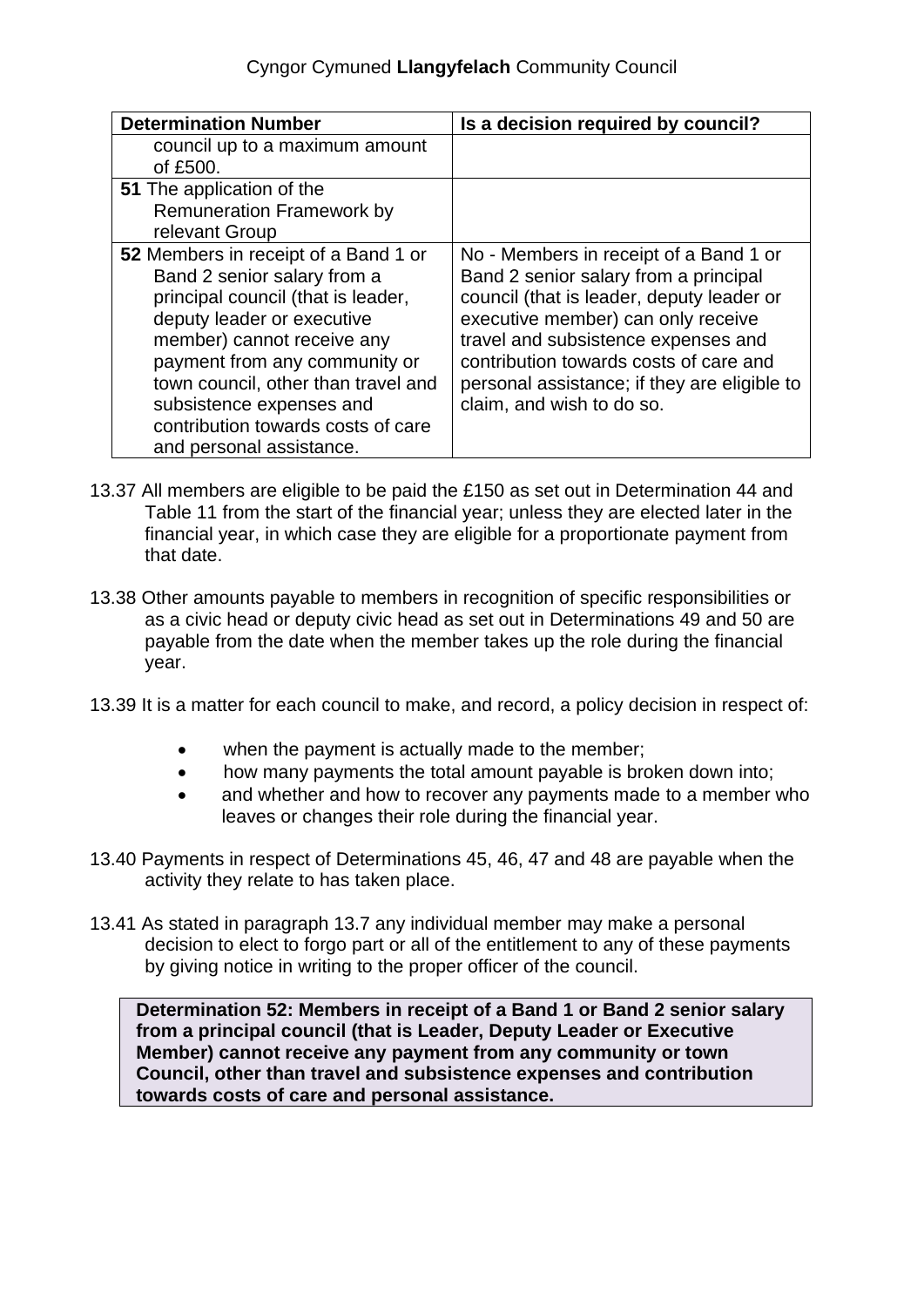## Cyngor Cymuned **Llangyfelach** Community Council

| <b>Determination Number</b>                                                                                                                                                                                                                                                                                                                 | Is a decision required by council?                                                                                                                                                                                                                                                                                               |
|---------------------------------------------------------------------------------------------------------------------------------------------------------------------------------------------------------------------------------------------------------------------------------------------------------------------------------------------|----------------------------------------------------------------------------------------------------------------------------------------------------------------------------------------------------------------------------------------------------------------------------------------------------------------------------------|
| council up to a maximum amount<br>of £500.                                                                                                                                                                                                                                                                                                  |                                                                                                                                                                                                                                                                                                                                  |
| <b>51</b> The application of the<br><b>Remuneration Framework by</b><br>relevant Group                                                                                                                                                                                                                                                      |                                                                                                                                                                                                                                                                                                                                  |
| 52 Members in receipt of a Band 1 or<br>Band 2 senior salary from a<br>principal council (that is leader,<br>deputy leader or executive<br>member) cannot receive any<br>payment from any community or<br>town council, other than travel and<br>subsistence expenses and<br>contribution towards costs of care<br>and personal assistance. | No - Members in receipt of a Band 1 or<br>Band 2 senior salary from a principal<br>council (that is leader, deputy leader or<br>executive member) can only receive<br>travel and subsistence expenses and<br>contribution towards costs of care and<br>personal assistance; if they are eligible to<br>claim, and wish to do so. |

- 13.37 All members are eligible to be paid the £150 as set out in Determination 44 and Table 11 from the start of the financial year; unless they are elected later in the financial year, in which case they are eligible for a proportionate payment from that date.
- 13.38 Other amounts payable to members in recognition of specific responsibilities or as a civic head or deputy civic head as set out in Determinations 49 and 50 are payable from the date when the member takes up the role during the financial year.
- 13.39 It is a matter for each council to make, and record, a policy decision in respect of:
	- when the payment is actually made to the member;
	- how many payments the total amount payable is broken down into;
	- and whether and how to recover any payments made to a member who leaves or changes their role during the financial year.
- 13.40 Payments in respect of Determinations 45, 46, 47 and 48 are payable when the activity they relate to has taken place.
- 13.41 As stated in paragraph 13.7 any individual member may make a personal decision to elect to forgo part or all of the entitlement to any of these payments by giving notice in writing to the proper officer of the council.

**Determination 52: Members in receipt of a Band 1 or Band 2 senior salary from a principal council (that is Leader, Deputy Leader or Executive Member) cannot receive any payment from any community or town Council, other than travel and subsistence expenses and contribution towards costs of care and personal assistance.**